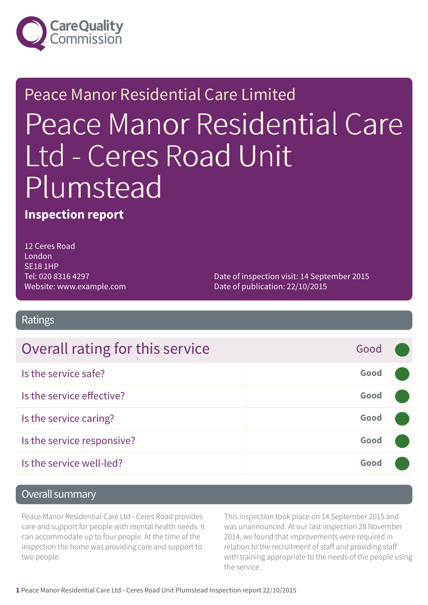

## Peace Manor Residential Care Limited Peace Manor Residential Care Ltd - Ceres Road Unit Plumstead

#### **Inspection report**

12 Ceres Road London SE18 1HP Tel: 020 8316 4297 Website: www.example.com

Date of inspection visit: 14 September 2015 Date of publication: 22/10/2015

#### Ratings

| Overall rating for this service | Good |  |
|---------------------------------|------|--|
| Is the service safe?            | Good |  |
| Is the service effective?       | Good |  |
| Is the service caring?          | Good |  |
| Is the service responsive?      | Good |  |
| Is the service well-led?        | Good |  |

#### Overall summary

Peace Manor Residential Care Ltd - Ceres Road provides care and support for people with mental health needs. It can accommodate up to four people. At the time of the inspection the home was providing care and support to two people.

This inspection took place on 14 September 2015 and was unannounced. At our last inspection 28 November 2014, we found that improvements were required in relation to the recruitment of staff and providing staff with training appropriate to the needs of the people using the service.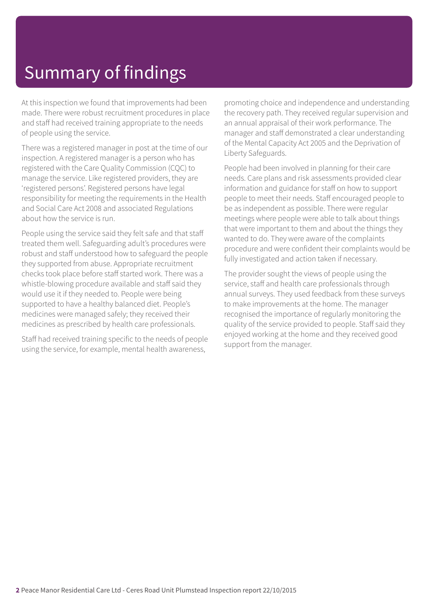## Summary of findings

At this inspection we found that improvements had been made. There were robust recruitment procedures in place and staff had received training appropriate to the needs of people using the service.

There was a registered manager in post at the time of our inspection. A registered manager is a person who has registered with the Care Quality Commission (CQC) to manage the service. Like registered providers, they are 'registered persons'. Registered persons have legal responsibility for meeting the requirements in the Health and Social Care Act 2008 and associated Regulations about how the service is run.

People using the service said they felt safe and that staff treated them well. Safeguarding adult's procedures were robust and staff understood how to safeguard the people they supported from abuse. Appropriate recruitment checks took place before staff started work. There was a whistle-blowing procedure available and staff said they would use it if they needed to. People were being supported to have a healthy balanced diet. People's medicines were managed safely; they received their medicines as prescribed by health care professionals.

Staff had received training specific to the needs of people using the service, for example, mental health awareness,

promoting choice and independence and understanding the recovery path. They received regular supervision and an annual appraisal of their work performance. The manager and staff demonstrated a clear understanding of the Mental Capacity Act 2005 and the Deprivation of Liberty Safeguards.

People had been involved in planning for their care needs. Care plans and risk assessments provided clear information and guidance for staff on how to support people to meet their needs. Staff encouraged people to be as independent as possible. There were regular meetings where people were able to talk about things that were important to them and about the things they wanted to do. They were aware of the complaints procedure and were confident their complaints would be fully investigated and action taken if necessary.

The provider sought the views of people using the service, staff and health care professionals through annual surveys. They used feedback from these surveys to make improvements at the home. The manager recognised the importance of regularly monitoring the quality of the service provided to people. Staff said they enjoyed working at the home and they received good support from the manager.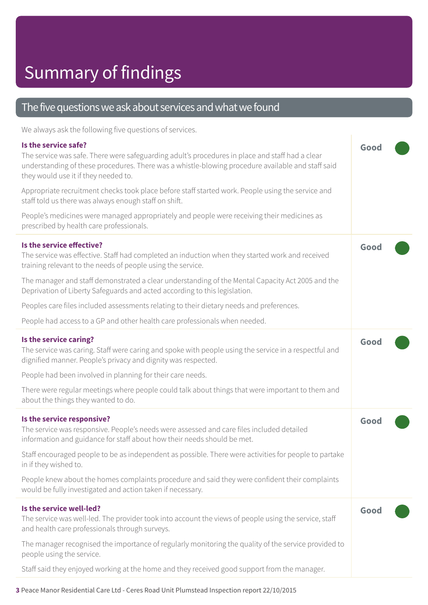#### The five questions we ask about services and what we found

We always ask the following five questions of services.

| Is the service safe?<br>The service was safe. There were safeguarding adult's procedures in place and staff had a clear<br>understanding of these procedures. There was a whistle-blowing procedure available and staff said<br>they would use it if they needed to. | Good |  |
|----------------------------------------------------------------------------------------------------------------------------------------------------------------------------------------------------------------------------------------------------------------------|------|--|
| Appropriate recruitment checks took place before staff started work. People using the service and<br>staff told us there was always enough staff on shift.                                                                                                           |      |  |
| People's medicines were managed appropriately and people were receiving their medicines as<br>prescribed by health care professionals.                                                                                                                               |      |  |
| Is the service effective?<br>The service was effective. Staff had completed an induction when they started work and received<br>training relevant to the needs of people using the service.                                                                          | Good |  |
| The manager and staff demonstrated a clear understanding of the Mental Capacity Act 2005 and the<br>Deprivation of Liberty Safeguards and acted according to this legislation.                                                                                       |      |  |
| Peoples care files included assessments relating to their dietary needs and preferences.                                                                                                                                                                             |      |  |
| People had access to a GP and other health care professionals when needed.                                                                                                                                                                                           |      |  |
| Is the service caring?<br>The service was caring. Staff were caring and spoke with people using the service in a respectful and<br>dignified manner. People's privacy and dignity was respected.                                                                     | Good |  |
| People had been involved in planning for their care needs.                                                                                                                                                                                                           |      |  |
| There were regular meetings where people could talk about things that were important to them and<br>about the things they wanted to do.                                                                                                                              |      |  |
| Is the service responsive?<br>The service was responsive. People's needs were assessed and care files included detailed<br>information and guidance for staff about how their needs should be met.                                                                   | Good |  |
| Staff encouraged people to be as independent as possible. There were activities for people to partake<br>in if they wished to.                                                                                                                                       |      |  |
| People knew about the homes complaints procedure and said they were confident their complaints<br>would be fully investigated and action taken if necessary.                                                                                                         |      |  |
| Is the service well-led?<br>The service was well-led. The provider took into account the views of people using the service, staff<br>and health care professionals through surveys.                                                                                  | Good |  |
| The manager recognised the importance of regularly monitoring the quality of the service provided to<br>people using the service.                                                                                                                                    |      |  |
| Staff said they enjoyed working at the home and they received good support from the manager.                                                                                                                                                                         |      |  |

**3** Peace Manor Residential Care Ltd - Ceres Road Unit Plumstead Inspection report 22/10/2015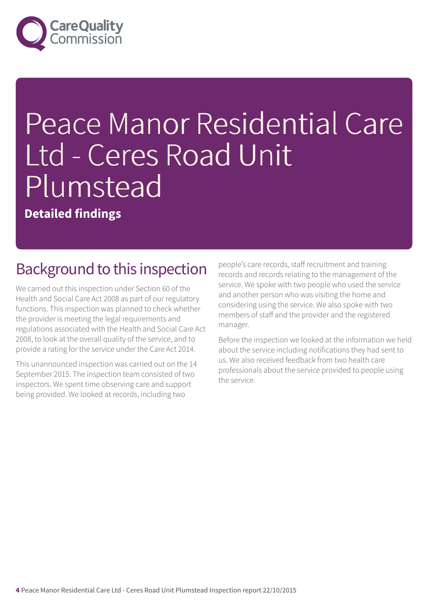

# Peace Manor Residential Care Ltd - Ceres Road Unit Plumstead

**Detailed findings**

#### Background to this inspection

We carried out this inspection under Section 60 of the Health and Social Care Act 2008 as part of our regulatory functions. This inspection was planned to check whether the provider is meeting the legal requirements and regulations associated with the Health and Social Care Act 2008, to look at the overall quality of the service, and to provide a rating for the service under the Care Act 2014.

This unannounced inspection was carried out on the 14 September 2015. The inspection team consisted of two inspectors. We spent time observing care and support being provided. We looked at records, including two

people's care records, staff recruitment and training records and records relating to the management of the service. We spoke with two people who used the service and another person who was visiting the home and considering using the service. We also spoke with two members of staff and the provider and the registered manager.

Before the inspection we looked at the information we held about the service including notifications they had sent to us. We also received feedback from two health care professionals about the service provided to people using the service.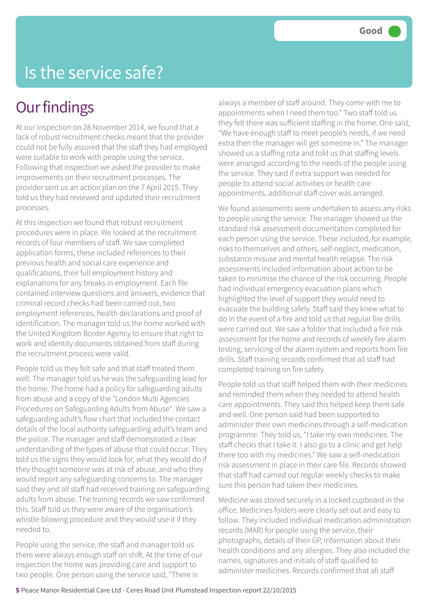#### Is the service safe?

#### **Our findings**

At our inspection on 28 November 2014, we found that a lack of robust recruitment checks meant that the provider could not be fully assured that the staff they had employed were suitable to work with people using the service. Following that inspection we asked the provider to make improvements on their recruitment processes. The provider sent us an action plan on the 7 April 2015. They told us they had reviewed and updated their recruitment processes.

At this inspection we found that robust recruitment procedures were in place. We looked at the recruitment records of four members of staff. We saw completed application forms, these included references to their previous health and social care experience and qualifications, their full employment history and explanations for any breaks in employment. Each file contained interview questions and answers, evidence that criminal record checks had been carried out, two employment references, health declarations and proof of identification. The manager told us the home worked with the United Kingdom Border Agency to ensure that right to work and identity documents obtained from staff during the recruitment process were valid.

People told us they felt safe and that staff treated them well. The manager told us he was the safeguarding lead for the home. The home had a policy for safeguarding adults from abuse and a copy of the "London Multi Agencies Procedures on Safeguarding Adults from Abuse". We saw a safeguarding adult's flow chart that included the contact details of the local authority safeguarding adult's team and the police. The manager and staff demonstrated a clear understanding of the types of abuse that could occur. They told us the signs they would look for, what they would do if they thought someone was at risk of abuse, and who they would report any safeguarding concerns to. The manager said they and all staff had received training on safeguarding adults from abuse. The training records we saw confirmed this. Staff told us they were aware of the organisation's whistle-blowing procedure and they would use it if they needed to.

People using the service, the staff and manager told us there were always enough staff on shift. At the time of our inspection the home was providing care and support to two people. One person using the service said, "There is

always a member of staff around. They come with me to appointments when I need them too." Two staff told us they felt there was sufficient staffing in the home. One said, "We have enough staff to meet people's needs, if we need extra then the manager will get someone in." The manager showed us a staffing rota and told us that staffing levels were arranged according to the needs of the people using the service. They said if extra support was needed for people to attend social activities or health care appointments, additional staff cover was arranged.

We found assessments were undertaken to assess any risks to people using the service. The manager showed us the standard risk assessment documentation completed for each person using the service. These included, for example, risks to themselves and others, self-neglect, medication, substance misuse and mental health relapse. The risk assessments included information about action to be taken to minimise the chance of the risk occurring. People had individual emergency evacuation plans which highlighted the level of support they would need to evacuate the building safely. Staff said they knew what to do in the event of a fire and told us that regular fire drills were carried out. We saw a folder that included a fire risk assessment for the home and records of weekly fire alarm testing, servicing of the alarm system and reports from fire drills. Staff training records confirmed that all staff had completed training on fire safety.

People told us that staff helped them with their medicines and reminded them when they needed to attend health care appointments. They said this helped keep them safe and well. One person said had been supported to administer their own medicines through a self-medication programme. They told us, "I take my own medicines. The staff checks that I take it. I also go to a clinic and get help there too with my medicines." We saw a self-medication risk assessment in place in their care file. Records showed that staff had carried out regular weekly checks to make sure this person had taken their medicines.

Medicine was stored securely in a locked cupboard in the office. Medicines folders were clearly set out and easy to follow. They included individual medication administration records (MAR) for people using the service, their photographs, details of their GP, information about their health conditions and any allergies. They also included the names, signatures and initials of staff qualified to administer medicines. Records confirmed that all staff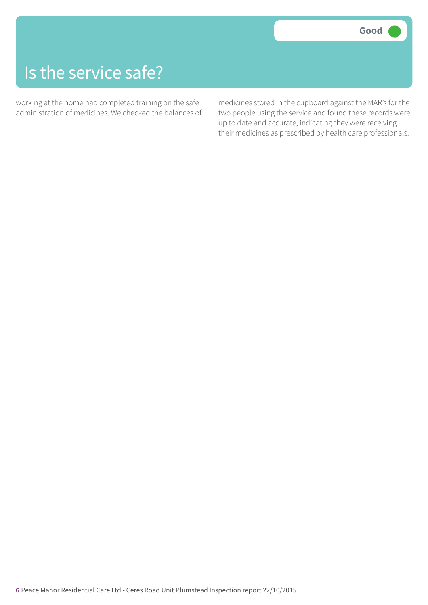#### Is the service safe?

working at the home had completed training on the safe administration of medicines. We checked the balances of medicines stored in the cupboard against the MAR's for the two people using the service and found these records were up to date and accurate, indicating they were receiving their medicines as prescribed by health care professionals.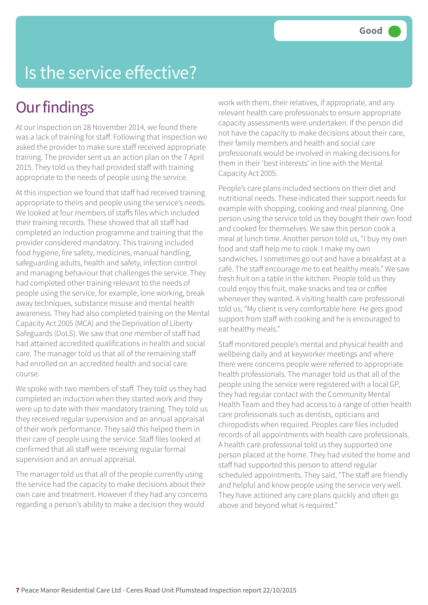## Is the service effective?

#### **Our findings**

At our inspection on 28 November 2014, we found there was a lack of training for staff. Following that inspection we asked the provider to make sure staff received appropriate training. The provider sent us an action plan on the 7 April 2015. They told us they had provided staff with training appropriate to the needs of people using the service.

At this inspection we found that staff had received training appropriate to theirs and people using the service's needs. We looked at four members of staffs files which included their training records. These showed that all staff had completed an induction programme and training that the provider considered mandatory. This training included food hygiene, fire safety, medicines, manual handling, safeguarding adults, health and safety, infection control and managing behaviour that challenges the service. They had completed other training relevant to the needs of people using the service, for example, lone working, break away techniques, substance misuse and mental health awareness. They had also completed training on the Mental Capacity Act 2005 (MCA) and the Deprivation of Liberty Safeguards (DoLS). We saw that one member of staff had had attained accredited qualifications in health and social care. The manager told us that all of the remaining staff had enrolled on an accredited health and social care course.

We spoke with two members of staff. They told us they had completed an induction when they started work and they were up to date with their mandatory training. They told us they received regular supervision and an annual appraisal of their work performance. They said this helped them in their care of people using the service. Staff files looked at confirmed that all staff were receiving regular formal supervision and an annual appraisal.

The manager told us that all of the people currently using the service had the capacity to make decisions about their own care and treatment. However if they had any concerns regarding a person's ability to make a decision they would

work with them, their relatives, if appropriate, and any relevant health care professionals to ensure appropriate capacity assessments were undertaken. If the person did not have the capacity to make decisions about their care, their family members and health and social care professionals would be involved in making decisions for them in their 'best interests' in line with the Mental Capacity Act 2005.

People's care plans included sections on their diet and nutritional needs. These indicated their support needs for example with shopping, cooking and meal planning. One person using the service told us they bought their own food and cooked for themselves. We saw this person cook a meal at lunch time. Another person told us, "I buy my own food and staff help me to cook. I make my own sandwiches. I sometimes go out and have a breakfast at a café. The staff encourage me to eat healthy meals." We saw fresh fruit on a table in the kitchen. People told us they could enjoy this fruit, make snacks and tea or coffee whenever they wanted. A visiting health care professional told us, "My client is very comfortable here. He gets good support from staff with cooking and he is encouraged to eat healthy meals."

Staff monitored people's mental and physical health and wellbeing daily and at keyworker meetings and where there were concerns people were referred to appropriate health professionals. The manager told us that all of the people using the service were registered with a local GP, they had regular contact with the Community Mental Health Team and they had access to a range of other health care professionals such as dentists, opticians and chiropodists when required. Peoples care files included records of all appointments with health care professionals. A health care professional told us they supported one person placed at the home. They had visited the home and staff had supported this person to attend regular scheduled appointments. They said, "The staff are friendly and helpful and know people using the service very well. They have actioned any care plans quickly and often go above and beyond what is required."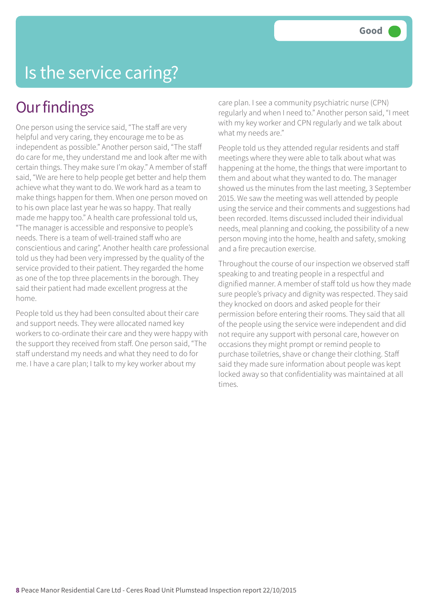### Is the service caring?

#### **Our findings**

One person using the service said, "The staff are very helpful and very caring, they encourage me to be as independent as possible." Another person said, "The staff do care for me, they understand me and look after me with certain things. They make sure I'm okay." A member of staff said, "We are here to help people get better and help them achieve what they want to do. We work hard as a team to make things happen for them. When one person moved on to his own place last year he was so happy. That really made me happy too." A health care professional told us, "The manager is accessible and responsive to people's needs. There is a team of well-trained staff who are conscientious and caring". Another health care professional told us they had been very impressed by the quality of the service provided to their patient. They regarded the home as one of the top three placements in the borough. They said their patient had made excellent progress at the home.

People told us they had been consulted about their care and support needs. They were allocated named key workers to co-ordinate their care and they were happy with the support they received from staff. One person said, "The staff understand my needs and what they need to do for me. I have a care plan; I talk to my key worker about my

care plan. I see a community psychiatric nurse (CPN) regularly and when I need to." Another person said, "I meet with my key worker and CPN regularly and we talk about what my needs are."

People told us they attended regular residents and staff meetings where they were able to talk about what was happening at the home, the things that were important to them and about what they wanted to do. The manager showed us the minutes from the last meeting, 3 September 2015. We saw the meeting was well attended by people using the service and their comments and suggestions had been recorded. Items discussed included their individual needs, meal planning and cooking, the possibility of a new person moving into the home, health and safety, smoking and a fire precaution exercise.

Throughout the course of our inspection we observed staff speaking to and treating people in a respectful and dignified manner. A member of staff told us how they made sure people's privacy and dignity was respected. They said they knocked on doors and asked people for their permission before entering their rooms. They said that all of the people using the service were independent and did not require any support with personal care, however on occasions they might prompt or remind people to purchase toiletries, shave or change their clothing. Staff said they made sure information about people was kept locked away so that confidentiality was maintained at all times.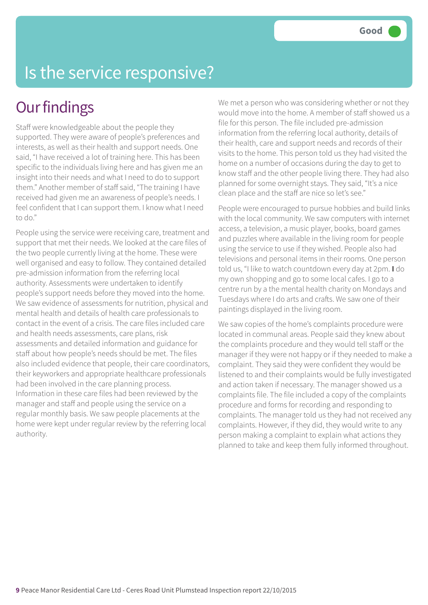## Is the service responsive?

#### **Our findings**

Staff were knowledgeable about the people they supported. They were aware of people's preferences and interests, as well as their health and support needs. One said, "I have received a lot of training here. This has been specific to the individuals living here and has given me an insight into their needs and what I need to do to support them." Another member of staff said, "The training I have received had given me an awareness of people's needs. I feel confident that I can support them. I know what I need to do."

People using the service were receiving care, treatment and support that met their needs. We looked at the care files of the two people currently living at the home. These were well organised and easy to follow. They contained detailed pre-admission information from the referring local authority. Assessments were undertaken to identify people's support needs before they moved into the home. We saw evidence of assessments for nutrition, physical and mental health and details of health care professionals to contact in the event of a crisis. The care files included care and health needs assessments, care plans, risk assessments and detailed information and guidance for staff about how people's needs should be met. The files also included evidence that people, their care coordinators, their keyworkers and appropriate healthcare professionals had been involved in the care planning process. Information in these care files had been reviewed by the manager and staff and people using the service on a regular monthly basis. We saw people placements at the home were kept under regular review by the referring local authority.

We met a person who was considering whether or not they would move into the home. A member of staff showed us a file for this person. The file included pre-admission information from the referring local authority, details of their health, care and support needs and records of their visits to the home. This person told us they had visited the home on a number of occasions during the day to get to know staff and the other people living there. They had also planned for some overnight stays. They said, "It's a nice clean place and the staff are nice so let's see."

People were encouraged to pursue hobbies and build links with the local community. We saw computers with internet access, a television, a music player, books, board games and puzzles where available in the living room for people using the service to use if they wished. People also had televisions and personal items in their rooms. One person told us, "I like to watch countdown every day at 2pm. **I** do my own shopping and go to some local cafes. I go to a centre run by a the mental health charity on Mondays and Tuesdays where I do arts and crafts. We saw one of their paintings displayed in the living room.

We saw copies of the home's complaints procedure were located in communal areas. People said they knew about the complaints procedure and they would tell staff or the manager if they were not happy or if they needed to make a complaint. They said they were confident they would be listened to and their complaints would be fully investigated and action taken if necessary. The manager showed us a complaints file. The file included a copy of the complaints procedure and forms for recording and responding to complaints. The manager told us they had not received any complaints. However, if they did, they would write to any person making a complaint to explain what actions they planned to take and keep them fully informed throughout.